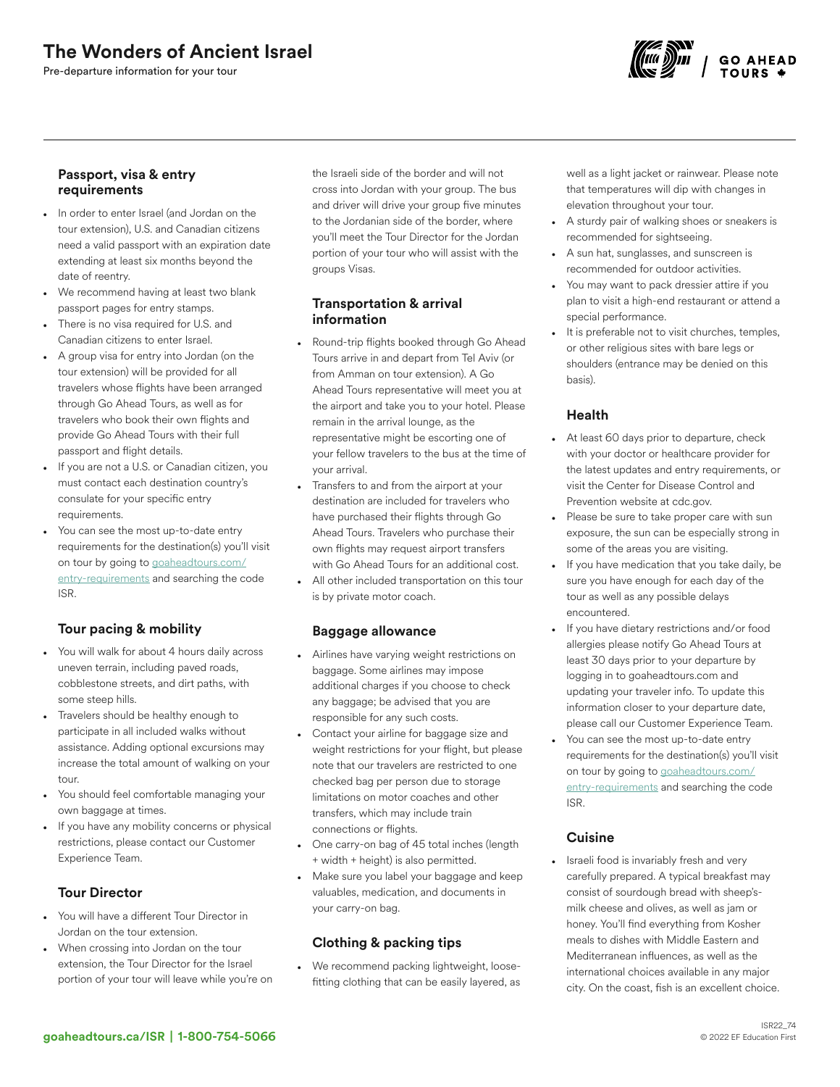# The Wonders of Ancient Israel

Pre-departure information for your tour



#### Passport, visa & entry requirements

- In order to enter Israel (and Jordan on the tour extension), U.S. and Canadian citizens need a valid passport with an expiration date extending at least six months beyond the date of reentry.
- We recommend having at least two blank passport pages for entry stamps.
- There is no visa required for U.S. and Canadian citizens to enter Israel.
- A group visa for entry into Jordan (on the tour extension) will be provided for all travelers whose flights have been arranged through Go Ahead Tours, as well as for travelers who book their own flights and provide Go Ahead Tours with their full passport and flight details.
- If you are not a U.S. or Canadian citizen, you must contact each destination country's consulate for your specific entry requirements.
- You can see the most up-to-date entry requirements for the destination(s) you'll visit on tour by going to [goaheadtours.com/](/entry-requirements?tourCode=ISR) [entry-requirements](/entry-requirements?tourCode=ISR) and searching the code ISR.

## Tour pacing & mobility

- You will walk for about 4 hours daily across uneven terrain, including paved roads, cobblestone streets, and dirt paths, with some steep hills.
- Travelers should be healthy enough to participate in all included walks without assistance. Adding optional excursions may increase the total amount of walking on your tour.
- You should feel comfortable managing your own baggage at times.
- If you have any mobility concerns or physical restrictions, please contact our Customer Experience Team.

## Tour Director

- You will have a different Tour Director in Jordan on the tour extension.
- When crossing into Jordan on the tour extension, the Tour Director for the Israel portion of your tour will leave while you're on

the Israeli side of the border and will not cross into Jordan with your group. The bus and driver will drive your group five minutes to the Jordanian side of the border, where you'll meet the Tour Director for the Jordan portion of your tour who will assist with the groups Visas.

#### Transportation & arrival information

- Round-trip flights booked through Go Ahead Tours arrive in and depart from Tel Aviv (or from Amman on tour extension). A Go Ahead Tours representative will meet you at the airport and take you to your hotel. Please remain in the arrival lounge, as the representative might be escorting one of your fellow travelers to the bus at the time of your arrival.
- Transfers to and from the airport at your destination are included for travelers who have purchased their flights through Go Ahead Tours. Travelers who purchase their own flights may request airport transfers with Go Ahead Tours for an additional cost.
- All other included transportation on this tour is by private motor coach.

#### Baggage allowance

- Airlines have varying weight restrictions on baggage. Some airlines may impose additional charges if you choose to check any baggage; be advised that you are responsible for any such costs.
- Contact your airline for baggage size and weight restrictions for your flight, but please note that our travelers are restricted to one checked bag per person due to storage limitations on motor coaches and other transfers, which may include train connections or flights.
- One carry-on bag of 45 total inches (length + width + height) is also permitted.
- Make sure you label your baggage and keep valuables, medication, and documents in your carry-on bag.

## Clothing & packing tips

• We recommend packing lightweight, loosefitting clothing that can be easily layered, as

well as a light jacket or rainwear. Please note that temperatures will dip with changes in elevation throughout your tour.

- A sturdy pair of walking shoes or sneakers is recommended for sightseeing.
- A sun hat, sunglasses, and sunscreen is recommended for outdoor activities.
- You may want to pack dressier attire if you plan to visit a high-end restaurant or attend a special performance.
- It is preferable not to visit churches, temples, or other religious sites with bare legs or shoulders (entrance may be denied on this basis).

## Health

- At least 60 days prior to departure, check with your doctor or healthcare provider for the latest updates and entry requirements, or visit the Center for Disease Control and Prevention website at cdc.gov.
- Please be sure to take proper care with sun exposure, the sun can be especially strong in some of the areas you are visiting.
- If you have medication that you take daily, be sure you have enough for each day of the tour as well as any possible delays encountered.
- If you have dietary restrictions and/or food allergies please notify Go Ahead Tours at least 30 days prior to your departure by logging in to goaheadtours.com and updating your traveler info. To update this information closer to your departure date, please call our Customer Experience Team.
- You can see the most up-to-date entry requirements for the destination(s) you'll visit on tour by going to [goaheadtours.com/](/entry-requirements?tourCode=ISR) [entry-requirements](/entry-requirements?tourCode=ISR) and searching the code ISR.

## Cuisine

• Israeli food is invariably fresh and very carefully prepared. A typical breakfast may consist of sourdough bread with sheep'smilk cheese and olives, as well as jam or honey. You'll find everything from Kosher meals to dishes with Middle Eastern and Mediterranean influences, as well as the international choices available in any major city. On the coast, fish is an excellent choice.